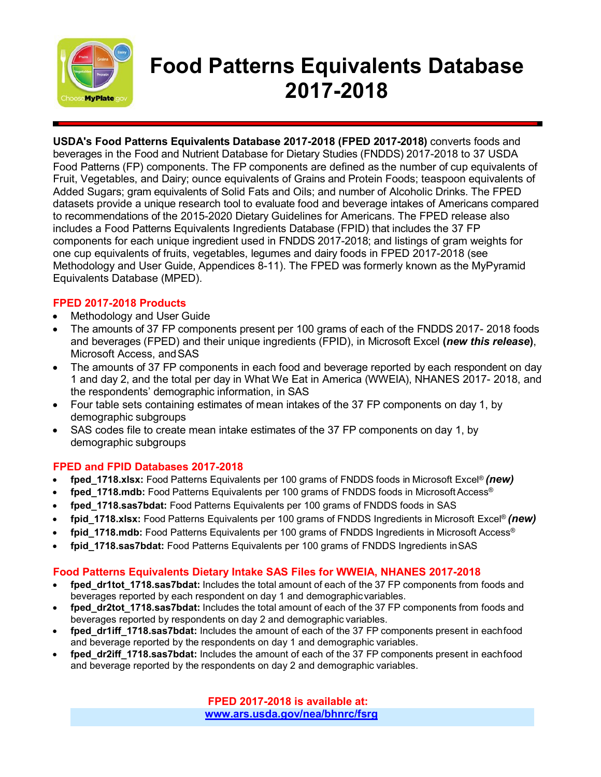

# **Food Patterns Equivalents Database 2017-2018**

**USDA's Food Patterns Equivalents Database 2017-2018 (FPED 2017-2018)** converts foods and beverages in the Food and Nutrient Database for Dietary Studies (FNDDS) 2017-2018 to 37 USDA Food Patterns (FP) components. The FP components are defined as the number of cup equivalents of Fruit, Vegetables, and Dairy; ounce equivalents of Grains and Protein Foods; teaspoon equivalents of Added Sugars; gram equivalents of Solid Fats and Oils; and number of Alcoholic Drinks. The FPED datasets provide a unique research tool to evaluate food and beverage intakes of Americans compared to recommendations of the 2015-2020 Dietary Guidelines for Americans. The FPED release also includes a Food Patterns Equivalents Ingredients Database (FPID) that includes the 37 FP components for each unique ingredient used in FNDDS 2017-2018; and listings of gram weights for one cup equivalents of fruits, vegetables, legumes and dairy foods in FPED 2017-2018 (see Methodology and User Guide, Appendices 8-11). The FPED was formerly known as the MyPyramid Equivalents Database (MPED).

### **FPED 2017-2018 Products**

- Methodology and User Guide
- The amounts of 37 FP components present per 100 grams of each of the FNDDS 2017- 2018 foods and beverages (FPED) and their unique ingredients (FPID), in Microsoft Excel **(***new this release***)**, Microsoft Access, andSAS
- The amounts of 37 FP components in each food and beverage reported by each respondent on day 1 and day 2, and the total per day in What We Eat in America (WWEIA), NHANES 2017- 2018, and the respondents' demographic information, in SAS
- Four table sets containing estimates of mean intakes of the 37 FP components on day 1, by demographic subgroups
- SAS codes file to create mean intake estimates of the 37 FP components on day 1, by demographic subgroups

### **FPED and FPID Databases 2017-2018**

- **fped\_1718.xlsx:** Food Patterns Equivalents per 100 grams of FNDDS foods in Microsoft Excel® *(new)*
- **fped 1718.mdb:** Food Patterns Equivalents per 100 grams of FNDDS foods in Microsoft Access<sup>®</sup>
- **fped\_1718.sas7bdat:** Food Patterns Equivalents per 100 grams of FNDDS foods in SAS
- **fpid\_1718.xlsx:** Food Patterns Equivalents per 100 grams of FNDDS Ingredients in Microsoft Excel® *(new)*
- **fpid\_1718.mdb:** Food Patterns Equivalents per 100 grams of FNDDS Ingredients in Microsoft Access®
- **fpid\_1718.sas7bdat:** Food Patterns Equivalents per 100 grams of FNDDS Ingredients inSAS

### **Food Patterns Equivalents Dietary Intake SAS Files for WWEIA, NHANES 2017-2018**

- **fped dr1tot 1718.sas7bdat:** Includes the total amount of each of the 37 FP components from foods and beverages reported by each respondent on day 1 and demographicvariables.
- **fped\_dr2tot\_1718.sas7bdat:** Includes the total amount of each of the 37 FP components from foods and beverages reported by respondents on day 2 and demographic variables.
- **fped\_dr1iff\_1718.sas7bdat:** Includes the amount of each of the 37 FP components present in eachfood and beverage reported by the respondents on day 1 and demographic variables.
- **fped\_dr2iff\_1718.sas7bdat:** Includes the amount of each of the 37 FP components present in eachfood and beverage reported by the respondents on day 2 and demographic variables.

**FPED 2017-2018 is available at: [www.ars.usda.gov/nea/bhnrc/fsrg](http://www.ars.usda.gov/nea/bhnrc/fsrg)**